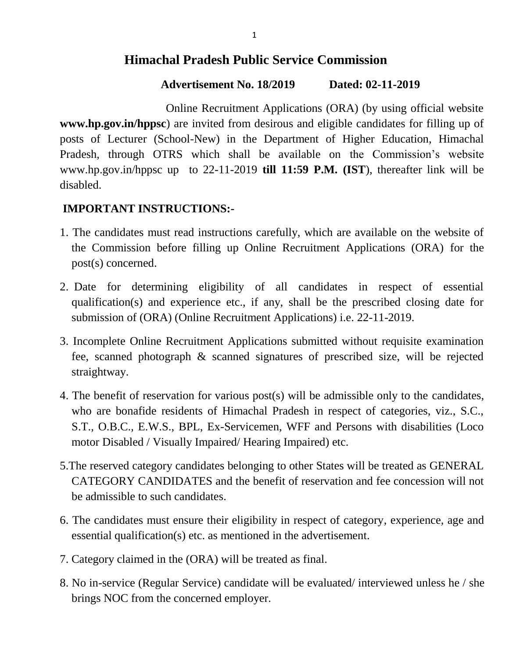## **Himachal Pradesh Public Service Commission**

### **Advertisement No. 18/2019 Dated: 02-11-2019**

Online Recruitment Applications (ORA) (by using official website **www.hp.gov.in/hppsc**) are invited from desirous and eligible candidates for filling up of posts of Lecturer (School-New) in the Department of Higher Education, Himachal Pradesh, through OTRS which shall be available on the Commission's website www.hp.gov.in/hppsc up to 22-11-2019 **till 11:59 P.M. (IST**), thereafter link will be disabled.

## **IMPORTANT INSTRUCTIONS:-**

- 1. The candidates must read instructions carefully, which are available on the website of the Commission before filling up Online Recruitment Applications (ORA) for the post(s) concerned.
- 2. Date for determining eligibility of all candidates in respect of essential qualification(s) and experience etc., if any, shall be the prescribed closing date for submission of (ORA) (Online Recruitment Applications) i.e. 22-11-2019.
- 3. Incomplete Online Recruitment Applications submitted without requisite examination fee, scanned photograph & scanned signatures of prescribed size, will be rejected straightway.
- 4. The benefit of reservation for various post(s) will be admissible only to the candidates, who are bonafide residents of Himachal Pradesh in respect of categories, viz., S.C., S.T., O.B.C., E.W.S., BPL, Ex-Servicemen, WFF and Persons with disabilities (Loco motor Disabled / Visually Impaired/ Hearing Impaired) etc.
- 5.The reserved category candidates belonging to other States will be treated as GENERAL CATEGORY CANDIDATES and the benefit of reservation and fee concession will not be admissible to such candidates.
- 6. The candidates must ensure their eligibility in respect of category, experience, age and essential qualification(s) etc. as mentioned in the advertisement.
- 7. Category claimed in the (ORA) will be treated as final.
- 8. No in-service (Regular Service) candidate will be evaluated/ interviewed unless he / she brings NOC from the concerned employer.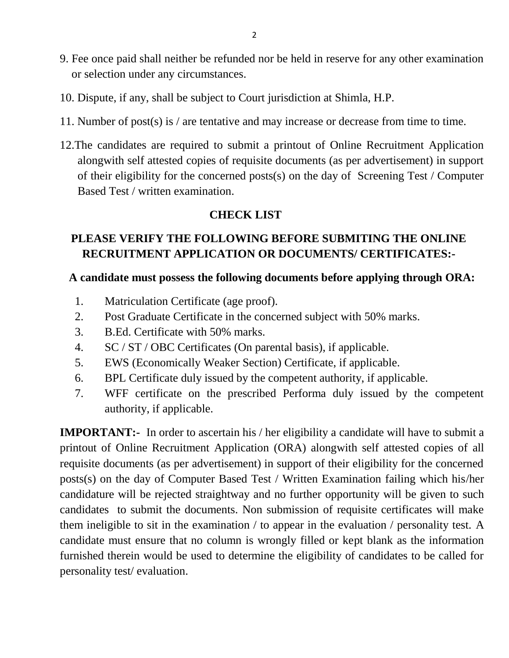- 9. Fee once paid shall neither be refunded nor be held in reserve for any other examination or selection under any circumstances.
- 10. Dispute, if any, shall be subject to Court jurisdiction at Shimla, H.P.
- 11. Number of post(s) is / are tentative and may increase or decrease from time to time.
- 12.The candidates are required to submit a printout of Online Recruitment Application alongwith self attested copies of requisite documents (as per advertisement) in support of their eligibility for the concerned posts(s) on the day of Screening Test / Computer Based Test / written examination.

### **CHECK LIST**

## **PLEASE VERIFY THE FOLLOWING BEFORE SUBMITING THE ONLINE RECRUITMENT APPLICATION OR DOCUMENTS/ CERTIFICATES:-**

### **A candidate must possess the following documents before applying through ORA:**

- 1. Matriculation Certificate (age proof).
- 2. Post Graduate Certificate in the concerned subject with 50% marks.
- 3. B.Ed. Certificate with 50% marks.
- 4. SC / ST / OBC Certificates (On parental basis), if applicable.
- 5. EWS (Economically Weaker Section) Certificate, if applicable.
- 6. BPL Certificate duly issued by the competent authority, if applicable.
- 7. WFF certificate on the prescribed Performa duly issued by the competent authority, if applicable.

**IMPORTANT:-** In order to ascertain his / her eligibility a candidate will have to submit a printout of Online Recruitment Application (ORA) alongwith self attested copies of all requisite documents (as per advertisement) in support of their eligibility for the concerned posts(s) on the day of Computer Based Test / Written Examination failing which his/her candidature will be rejected straightway and no further opportunity will be given to such candidates to submit the documents. Non submission of requisite certificates will make them ineligible to sit in the examination / to appear in the evaluation / personality test. A candidate must ensure that no column is wrongly filled or kept blank as the information furnished therein would be used to determine the eligibility of candidates to be called for personality test/ evaluation.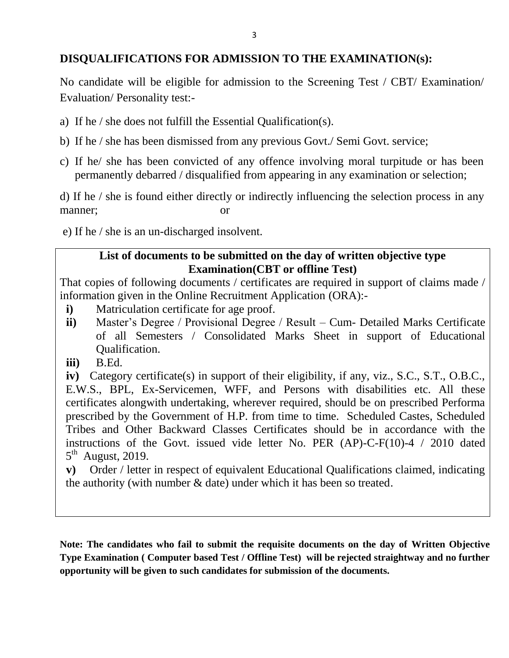### **DISQUALIFICATIONS FOR ADMISSION TO THE EXAMINATION(s):**

No candidate will be eligible for admission to the Screening Test / CBT/ Examination/ Evaluation/ Personality test:-

- a) If he / she does not fulfill the Essential Qualification(s).
- b) If he / she has been dismissed from any previous Govt./ Semi Govt. service;
- c) If he/ she has been convicted of any offence involving moral turpitude or has been permanently debarred / disqualified from appearing in any examination or selection;

d) If he / she is found either directly or indirectly influencing the selection process in any manner; or

e) If he / she is an un-discharged insolvent.

### **List of documents to be submitted on the day of written objective type Examination(CBT or offline Test)**

That copies of following documents / certificates are required in support of claims made / information given in the Online Recruitment Application (ORA):-

- **i)** Matriculation certificate for age proof.
- **ii**) Master's Degree / Provisional Degree / Result Cum- Detailed Marks Certificate of all Semesters / Consolidated Marks Sheet in support of Educational Qualification.
- **iii)** B.Ed.

**iv)** Category certificate(s) in support of their eligibility, if any, viz., S.C., S.T., O.B.C., E.W.S., BPL, Ex-Servicemen, WFF, and Persons with disabilities etc. All these certificates alongwith undertaking, wherever required, should be on prescribed Performa prescribed by the Government of H.P. from time to time. Scheduled Castes, Scheduled Tribes and Other Backward Classes Certificates should be in accordance with the instructions of the Govt. issued vide letter No. PER (AP)-C-F(10)-4 / 2010 dated  $5<sup>th</sup>$  August, 2019.

**v)** Order / letter in respect of equivalent Educational Qualifications claimed, indicating the authority (with number & date) under which it has been so treated.

**Note: The candidates who fail to submit the requisite documents on the day of Written Objective Type Examination ( Computer based Test / Offline Test) will be rejected straightway and no further opportunity will be given to such candidates for submission of the documents.**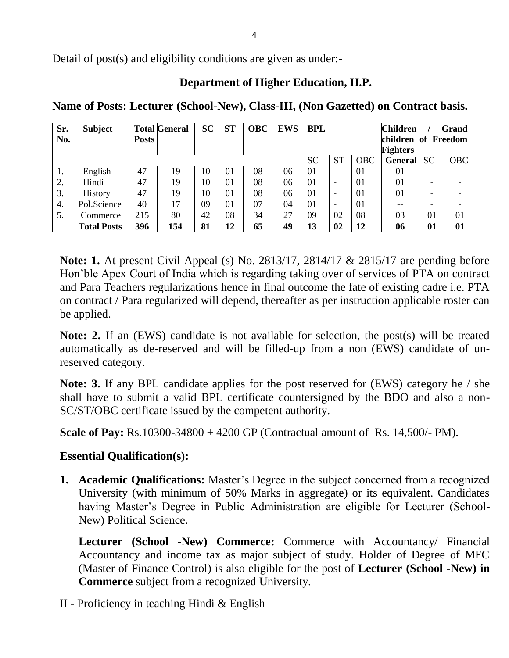Detail of post(s) and eligibility conditions are given as under:-

### **Department of Higher Education, H.P.**

| Sr.<br>No. | <b>Subject</b>     | Posts | <b>Total General</b> | <b>SC</b> | <b>ST</b> | <b>OBC</b> | <b>EWS</b> | <b>BPL</b> |                          |            | <b>Children</b><br>children of Freedom<br><b>Fighters</b> |          | Grand      |
|------------|--------------------|-------|----------------------|-----------|-----------|------------|------------|------------|--------------------------|------------|-----------------------------------------------------------|----------|------------|
|            |                    |       |                      |           |           |            |            | <b>SC</b>  | <b>ST</b>                | <b>OBC</b> | General                                                   | SC       | <b>OBC</b> |
| -1.        | English            | 47    | 19                   | 10        | 01        | 08         | 06         | 01         |                          | 01         | 01                                                        | -        |            |
| 2.         | Hindi              | 47    | 19                   | 10        | 01        | 08         | 06         | 01         | $\overline{\phantom{0}}$ | 01         | 01                                                        |          |            |
| 3.         | History            | 47    | 19                   | 10        | 01        | 08         | 06         | 01         | $\overline{\phantom{0}}$ | 01         | 01                                                        | -        |            |
| 4.         | Pol.Science        | 40    | 17                   | 09        | 01        | 07         | 04         | 01         | $\overline{\phantom{0}}$ | 01         | --                                                        | -        |            |
| 5.         | Commerce           | 215   | 80                   | 42        | 08        | 34         | 27         | 09         | 02                       | 08         | 03                                                        | $\Omega$ | 01         |
|            | <b>Total Posts</b> | 396   | 154                  | 81        | 12        | 65         | 49         | 13         | 02                       | 12         | 06                                                        | 01       | 01         |

**Name of Posts: Lecturer (School-New), Class-III, (Non Gazetted) on Contract basis.**

**Note: 1.** At present Civil Appeal (s) No. 2813/17, 2814/17 & 2815/17 are pending before Hon"ble Apex Court of India which is regarding taking over of services of PTA on contract and Para Teachers regularizations hence in final outcome the fate of existing cadre i.e. PTA on contract / Para regularized will depend, thereafter as per instruction applicable roster can be applied.

**Note: 2.** If an (EWS) candidate is not available for selection, the post(s) will be treated automatically as de-reserved and will be filled-up from a non (EWS) candidate of unreserved category.

**Note: 3.** If any BPL candidate applies for the post reserved for (EWS) category he / she shall have to submit a valid BPL certificate countersigned by the BDO and also a non-SC/ST/OBC certificate issued by the competent authority.

**Scale of Pay:** Rs.10300-34800 + 4200 GP (Contractual amount of Rs. 14,500/- PM).

### **Essential Qualification(s):**

**1. Academic Qualifications:** Master's Degree in the subject concerned from a recognized University (with minimum of 50% Marks in aggregate) or its equivalent. Candidates having Master's Degree in Public Administration are eligible for Lecturer (School-New) Political Science.

**Lecturer (School -New) Commerce:** Commerce with Accountancy/ Financial Accountancy and income tax as major subject of study. Holder of Degree of MFC (Master of Finance Control) is also eligible for the post of **Lecturer (School -New) in Commerce** subject from a recognized University.

II - Proficiency in teaching Hindi & English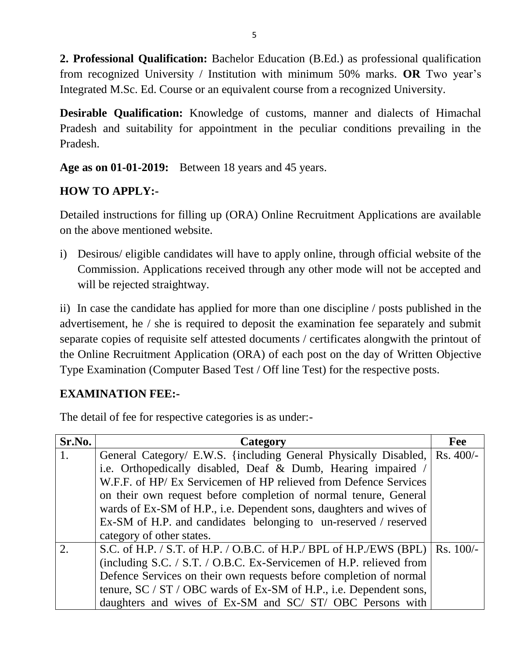**2. Professional Qualification:** Bachelor Education (B.Ed.) as professional qualification from recognized University / Institution with minimum 50% marks. **OR** Two year"s Integrated M.Sc. Ed. Course or an equivalent course from a recognized University.

**Desirable Qualification:** Knowledge of customs, manner and dialects of Himachal Pradesh and suitability for appointment in the peculiar conditions prevailing in the Pradesh.

**Age as on 01-01-2019:** Between 18 years and 45 years.

## **HOW TO APPLY:-**

Detailed instructions for filling up (ORA) Online Recruitment Applications are available on the above mentioned website.

i) Desirous/ eligible candidates will have to apply online, through official website of the Commission. Applications received through any other mode will not be accepted and will be rejected straightway.

ii) In case the candidate has applied for more than one discipline / posts published in the advertisement, he / she is required to deposit the examination fee separately and submit separate copies of requisite self attested documents / certificates alongwith the printout of the Online Recruitment Application (ORA) of each post on the day of Written Objective Type Examination (Computer Based Test / Off line Test) for the respective posts.

### **EXAMINATION FEE:-**

The detail of fee for respective categories is as under:-

| Sr.No. | Category                                                                        | Fee |
|--------|---------------------------------------------------------------------------------|-----|
| 1.     | General Category/ E.W.S. {including General Physically Disabled,   Rs. 400/-    |     |
|        | i.e. Orthopedically disabled, Deaf & Dumb, Hearing impaired /                   |     |
|        | W.F.F. of HP/ Ex Servicemen of HP relieved from Defence Services                |     |
|        | on their own request before completion of normal tenure, General                |     |
|        | wards of Ex-SM of H.P., i.e. Dependent sons, daughters and wives of             |     |
|        | Ex-SM of H.P. and candidates belonging to un-reserved / reserved                |     |
|        | category of other states.                                                       |     |
| 2.     | S.C. of H.P. / S.T. of H.P. / O.B.C. of H.P./ BPL of H.P./EWS (BPL)   Rs. 100/- |     |
|        | (including S.C. / S.T. / O.B.C. Ex-Servicemen of H.P. relieved from             |     |
|        | Defence Services on their own requests before completion of normal              |     |
|        | tenure, SC / ST / OBC wards of Ex-SM of H.P., i.e. Dependent sons,              |     |
|        | daughters and wives of Ex-SM and SC/ ST/ OBC Persons with                       |     |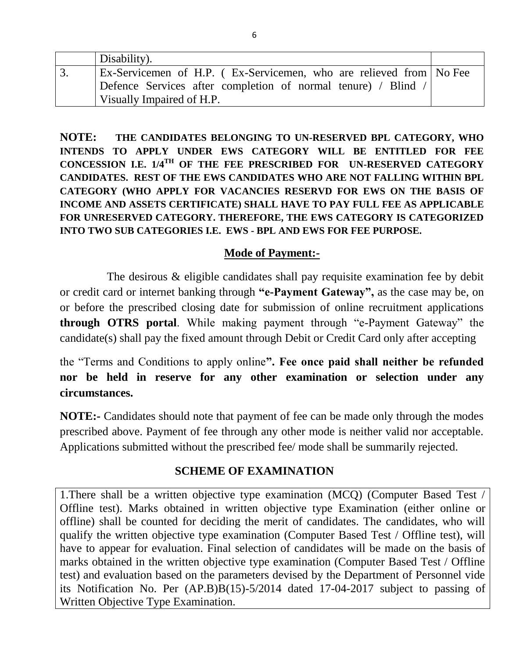| Disability).                                                       |  |
|--------------------------------------------------------------------|--|
| Ex-Servicemen of H.P. (Ex-Servicemen, who are relieved from No Fee |  |
| Defence Services after completion of normal tenure) / Blind /      |  |
| Visually Impaired of H.P.                                          |  |

**NOTE: THE CANDIDATES BELONGING TO UN-RESERVED BPL CATEGORY, WHO INTENDS TO APPLY UNDER EWS CATEGORY WILL BE ENTITLED FOR FEE CONCESSION I.E. 1/4TH OF THE FEE PRESCRIBED FOR UN-RESERVED CATEGORY CANDIDATES. REST OF THE EWS CANDIDATES WHO ARE NOT FALLING WITHIN BPL CATEGORY (WHO APPLY FOR VACANCIES RESERVD FOR EWS ON THE BASIS OF INCOME AND ASSETS CERTIFICATE) SHALL HAVE TO PAY FULL FEE AS APPLICABLE FOR UNRESERVED CATEGORY. THEREFORE, THE EWS CATEGORY IS CATEGORIZED INTO TWO SUB CATEGORIES I.E. EWS - BPL AND EWS FOR FEE PURPOSE.**

#### **Mode of Payment:-**

The desirous & eligible candidates shall pay requisite examination fee by debit or credit card or internet banking through **"e-Payment Gateway",** as the case may be, on or before the prescribed closing date for submission of online recruitment applications **through OTRS portal**. While making payment through "e-Payment Gateway" the candidate(s) shall pay the fixed amount through Debit or Credit Card only after accepting

the "Terms and Conditions to apply online**". Fee once paid shall neither be refunded nor be held in reserve for any other examination or selection under any circumstances.** 

**NOTE:-** Candidates should note that payment of fee can be made only through the modes prescribed above. Payment of fee through any other mode is neither valid nor acceptable. Applications submitted without the prescribed fee/ mode shall be summarily rejected.

### **SCHEME OF EXAMINATION**

1.There shall be a written objective type examination (MCQ) (Computer Based Test / Offline test). Marks obtained in written objective type Examination (either online or offline) shall be counted for deciding the merit of candidates. The candidates, who will qualify the written objective type examination (Computer Based Test / Offline test), will have to appear for evaluation. Final selection of candidates will be made on the basis of marks obtained in the written objective type examination (Computer Based Test / Offline test) and evaluation based on the parameters devised by the Department of Personnel vide its Notification No. Per (AP.B)B(15)-5/2014 dated 17-04-2017 subject to passing of Written Objective Type Examination.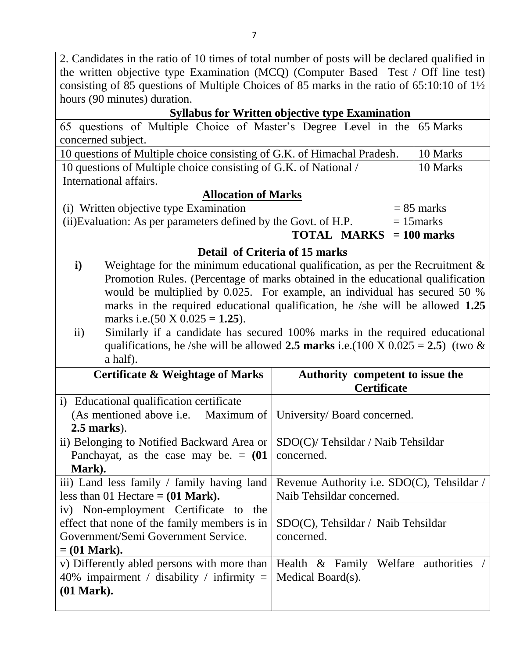| 2. Candidates in the ratio of 10 times of total number of posts will be declared qualified in           |                                                                             |              |  |  |  |
|---------------------------------------------------------------------------------------------------------|-----------------------------------------------------------------------------|--------------|--|--|--|
| the written objective type Examination (MCQ) (Computer Based Test / Off line test)                      |                                                                             |              |  |  |  |
| consisting of 85 questions of Multiple Choices of 85 marks in the ratio of $65:10:10$ of $1\frac{1}{2}$ |                                                                             |              |  |  |  |
| hours (90 minutes) duration.                                                                            |                                                                             |              |  |  |  |
|                                                                                                         | <b>Syllabus for Written objective type Examination</b>                      |              |  |  |  |
| 65 questions of Multiple Choice of Master's Degree Level in the<br>65 Marks                             |                                                                             |              |  |  |  |
| concerned subject.                                                                                      |                                                                             |              |  |  |  |
| 10 questions of Multiple choice consisting of G.K. of Himachal Pradesh.                                 |                                                                             | 10 Marks     |  |  |  |
| 10 questions of Multiple choice consisting of G.K. of National /                                        |                                                                             | 10 Marks     |  |  |  |
| International affairs.                                                                                  |                                                                             |              |  |  |  |
| <b>Allocation of Marks</b>                                                                              |                                                                             |              |  |  |  |
| (i) Written objective type Examination                                                                  |                                                                             | $= 85$ marks |  |  |  |
| (ii) Evaluation: As per parameters defined by the Govt. of H.P.                                         |                                                                             | $= 15$ marks |  |  |  |
|                                                                                                         | <b>TOTAL MARKS</b> $= 100$ marks                                            |              |  |  |  |
|                                                                                                         | Detail of Criteria of 15 marks                                              |              |  |  |  |
| Weightage for the minimum educational qualification, as per the Recruitment $\&$<br>$\mathbf{i}$        |                                                                             |              |  |  |  |
| Promotion Rules. (Percentage of marks obtained in the educational qualification                         |                                                                             |              |  |  |  |
| would be multiplied by 0.025. For example, an individual has secured 50 %                               |                                                                             |              |  |  |  |
| marks in the required educational qualification, he /she will be allowed 1.25                           |                                                                             |              |  |  |  |
| marks i.e.(50 X $0.025 = 1.25$ ).                                                                       |                                                                             |              |  |  |  |
| ii)                                                                                                     | Similarly if a candidate has secured 100% marks in the required educational |              |  |  |  |
| qualifications, he /she will be allowed 2.5 marks i.e.(100 X $0.025 = 2.5$ ) (two &                     |                                                                             |              |  |  |  |
| a half).                                                                                                |                                                                             |              |  |  |  |
| <b>Certificate &amp; Weightage of Marks</b>                                                             | Authority competent to issue the                                            |              |  |  |  |
|                                                                                                         | <b>Certificate</b>                                                          |              |  |  |  |
| i) Educational qualification certificate                                                                |                                                                             |              |  |  |  |
| (As mentioned above i.e. Maximum of University/Board concerned.                                         |                                                                             |              |  |  |  |
| <b>2.5 marks</b> ).                                                                                     |                                                                             |              |  |  |  |
| ii) Belonging to Notified Backward Area or                                                              |                                                                             |              |  |  |  |
|                                                                                                         | SDO(C)/Tehsildar / Naib Tehsildar                                           |              |  |  |  |
| Panchayat, as the case may be. $= (01$                                                                  | concerned.                                                                  |              |  |  |  |
| Mark).                                                                                                  |                                                                             |              |  |  |  |
| iii) Land less family / family having land                                                              | Revenue Authority i.e. SDO(C), Tehsildar /                                  |              |  |  |  |
| less than 01 Hectare $= (01 \text{ Mark})$ .                                                            | Naib Tehsildar concerned.                                                   |              |  |  |  |
| iv) Non-employment Certificate to the                                                                   |                                                                             |              |  |  |  |
| effect that none of the family members is in                                                            | SDO(C), Tehsildar / Naib Tehsildar                                          |              |  |  |  |
| Government/Semi Government Service.                                                                     | concerned.                                                                  |              |  |  |  |
| $=$ (01 Mark).                                                                                          |                                                                             |              |  |  |  |
| v) Differently abled persons with more than                                                             | Health & Family Welfare authorities                                         |              |  |  |  |
| 40% impairment / disability / infirmity $=$                                                             | Medical Board(s).                                                           |              |  |  |  |
| $(01$ Mark).                                                                                            |                                                                             |              |  |  |  |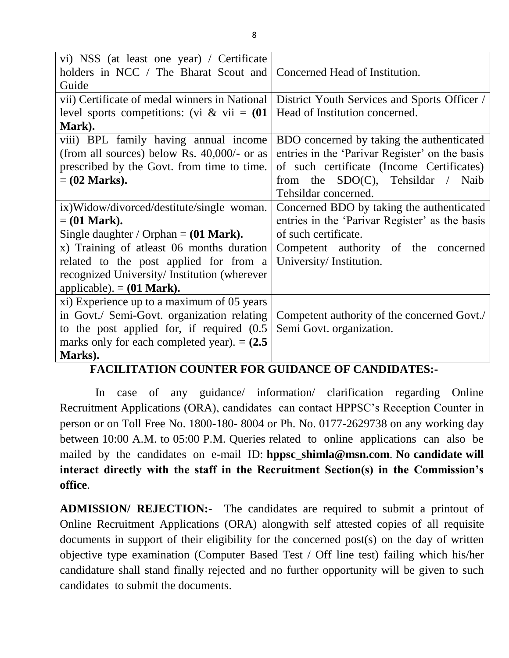| vi) NSS (at least one year) / Certificate        |                                                |  |  |  |
|--------------------------------------------------|------------------------------------------------|--|--|--|
| holders in NCC / The Bharat Scout and            | Concerned Head of Institution.                 |  |  |  |
| Guide                                            |                                                |  |  |  |
| vii) Certificate of medal winners in National    | District Youth Services and Sports Officer /   |  |  |  |
| level sports competitions: (vi & vii = $(01$     | Head of Institution concerned.                 |  |  |  |
| Mark).                                           |                                                |  |  |  |
| viii) BPL family having annual income            | BDO concerned by taking the authenticated      |  |  |  |
| (from all sources) below Rs. $40,000/$ - or as   | entries in the 'Parivar Register' on the basis |  |  |  |
| prescribed by the Govt. from time to time.       | of such certificate (Income Certificates)      |  |  |  |
| $= (02 \text{ Marks}).$                          | from the $SDO(C)$ , Tehsildar / Naib           |  |  |  |
|                                                  | Tehsildar concerned.                           |  |  |  |
| ix)Widow/divorced/destitute/single woman.        | Concerned BDO by taking the authenticated      |  |  |  |
| $=$ (01 Mark).                                   | entries in the 'Parivar Register' as the basis |  |  |  |
| Single daughter / Orphan = $(01 \text{ Mark})$ . | of such certificate.                           |  |  |  |
| x) Training of atleast 06 months duration        | Competent authority of the concerned           |  |  |  |
| related to the post applied for from a           | University/Institution.                        |  |  |  |
| recognized University/Institution (wherever      |                                                |  |  |  |
| applicable). $= (01 \text{ Mark})$ .             |                                                |  |  |  |
| xi) Experience up to a maximum of 05 years       |                                                |  |  |  |
| in Govt./ Semi-Govt. organization relating       | Competent authority of the concerned Govt./    |  |  |  |
| to the post applied for, if required $(0.5)$     | Semi Govt. organization.                       |  |  |  |
| marks only for each completed year). $= (2.5$    |                                                |  |  |  |
| Marks).                                          |                                                |  |  |  |

### **FACILITATION COUNTER FOR GUIDANCE OF CANDIDATES:-**

In case of any guidance/ information/ clarification regarding Online Recruitment Applications (ORA), candidates can contact HPPSC"s Reception Counter in person or on Toll Free No. 1800-180- 8004 or Ph. No. 0177-2629738 on any working day between 10:00 A.M. to 05:00 P.M. Queries related to online applications can also be mailed by the candidates on e-mail ID: **hppsc\_shimla@msn.com**. **No candidate will interact directly with the staff in the Recruitment Section(s) in the Commission's office**.

**ADMISSION/ REJECTION:-** The candidates are required to submit a printout of Online Recruitment Applications (ORA) alongwith self attested copies of all requisite documents in support of their eligibility for the concerned post(s) on the day of written objective type examination (Computer Based Test / Off line test) failing which his/her candidature shall stand finally rejected and no further opportunity will be given to such candidates to submit the documents.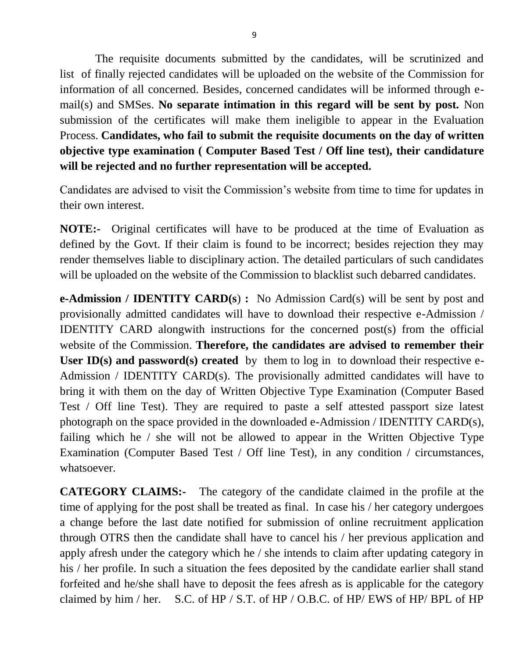The requisite documents submitted by the candidates, will be scrutinized and list of finally rejected candidates will be uploaded on the website of the Commission for information of all concerned. Besides, concerned candidates will be informed through email(s) and SMSes. **No separate intimation in this regard will be sent by post.** Non submission of the certificates will make them ineligible to appear in the Evaluation Process. **Candidates, who fail to submit the requisite documents on the day of written objective type examination ( Computer Based Test / Off line test), their candidature will be rejected and no further representation will be accepted.** 

Candidates are advised to visit the Commission's website from time to time for updates in their own interest.

**NOTE:-** Original certificates will have to be produced at the time of Evaluation as defined by the Govt. If their claim is found to be incorrect; besides rejection they may render themselves liable to disciplinary action. The detailed particulars of such candidates will be uploaded on the website of the Commission to blacklist such debarred candidates.

**e-Admission / IDENTITY CARD(s**) **:** No Admission Card(s) will be sent by post and provisionally admitted candidates will have to download their respective e-Admission / IDENTITY CARD alongwith instructions for the concerned post(s) from the official website of the Commission. **Therefore, the candidates are advised to remember their** User ID(s) and password(s) created by them to log in to download their respective e-Admission / IDENTITY CARD(s). The provisionally admitted candidates will have to bring it with them on the day of Written Objective Type Examination (Computer Based Test / Off line Test). They are required to paste a self attested passport size latest photograph on the space provided in the downloaded e-Admission / IDENTITY CARD(s), failing which he / she will not be allowed to appear in the Written Objective Type Examination (Computer Based Test / Off line Test), in any condition / circumstances, whatsoever.

**CATEGORY CLAIMS:-** The category of the candidate claimed in the profile at the time of applying for the post shall be treated as final. In case his / her category undergoes a change before the last date notified for submission of online recruitment application through OTRS then the candidate shall have to cancel his / her previous application and apply afresh under the category which he / she intends to claim after updating category in his / her profile. In such a situation the fees deposited by the candidate earlier shall stand forfeited and he/she shall have to deposit the fees afresh as is applicable for the category claimed by him / her. S.C. of HP / S.T. of HP / O.B.C. of HP/ EWS of HP/ BPL of HP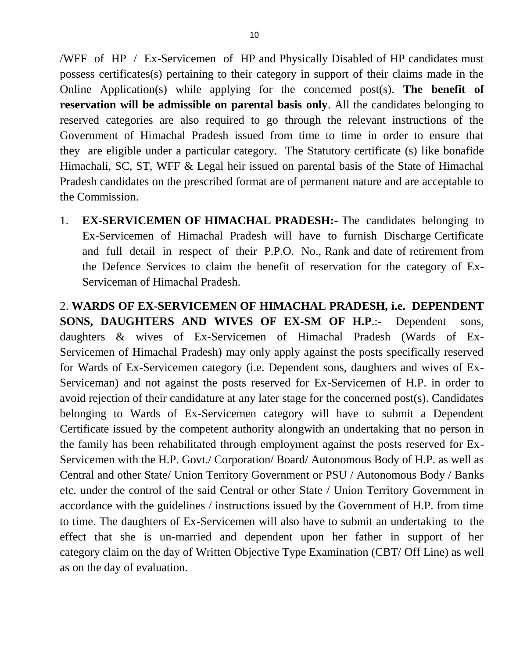/WFF of HP / Ex-Servicemen of HP and Physically Disabled of HP candidates must possess certificates(s) pertaining to their category in support of their claims made in the Online Application(s) while applying for the concerned post(s). **The benefit of reservation will be admissible on parental basis only**. All the candidates belonging to reserved categories are also required to go through the relevant instructions of the Government of Himachal Pradesh issued from time to time in order to ensure that they are eligible under a particular category. The Statutory certificate (s) like bonafide Himachali, SC, ST, WFF & Legal heir issued on parental basis of the State of Himachal Pradesh candidates on the prescribed format are of permanent nature and are acceptable to the Commission.

1. **EX-SERVICEMEN OF HIMACHAL PRADESH:-** The candidates belonging to Ex-Servicemen of Himachal Pradesh will have to furnish Discharge Certificate and full detail in respect of their P.P.O. No., Rank and date of retirement from the Defence Services to claim the benefit of reservation for the category of Ex-Serviceman of Himachal Pradesh.

2. **WARDS OF EX-SERVICEMEN OF HIMACHAL PRADESH, i.e. DEPENDENT SONS, DAUGHTERS AND WIVES OF EX-SM OF H.P**.:- Dependent sons, daughters & wives of Ex-Servicemen of Himachal Pradesh (Wards of Ex-Servicemen of Himachal Pradesh) may only apply against the posts specifically reserved for Wards of Ex-Servicemen category (i.e. Dependent sons, daughters and wives of Ex-Serviceman) and not against the posts reserved for Ex-Servicemen of H.P. in order to avoid rejection of their candidature at any later stage for the concerned post(s). Candidates belonging to Wards of Ex-Servicemen category will have to submit a Dependent Certificate issued by the competent authority alongwith an undertaking that no person in the family has been rehabilitated through employment against the posts reserved for Ex-Servicemen with the H.P. Govt./ Corporation/ Board/ Autonomous Body of H.P. as well as Central and other State/ Union Territory Government or PSU / Autonomous Body / Banks etc. under the control of the said Central or other State / Union Territory Government in accordance with the guidelines / instructions issued by the Government of H.P. from time to time. The daughters of Ex-Servicemen will also have to submit an undertaking to the effect that she is un-married and dependent upon her father in support of her category claim on the day of Written Objective Type Examination (CBT/ Off Line) as well as on the day of evaluation.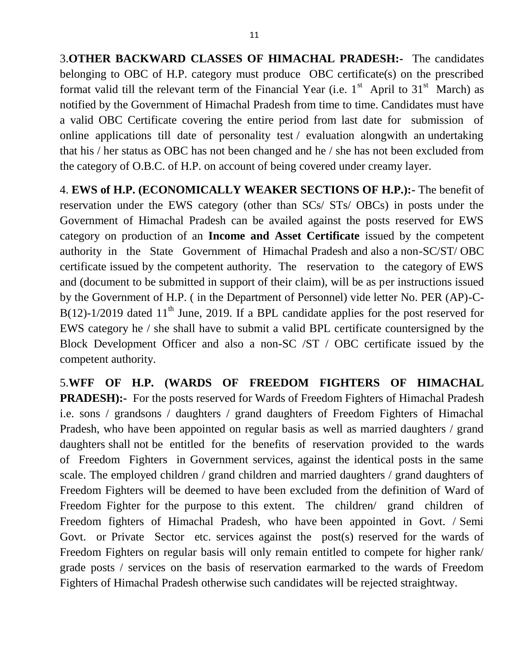3.**OTHER BACKWARD CLASSES OF HIMACHAL PRADESH:-** The candidates belonging to OBC of H.P. category must produce OBC certificate(s) on the prescribed format valid till the relevant term of the Financial Year (i.e.  $1<sup>st</sup>$  April to  $31<sup>st</sup>$  March) as notified by the Government of Himachal Pradesh from time to time. Candidates must have a valid OBC Certificate covering the entire period from last date for submission of online applications till date of personality test / evaluation alongwith an undertaking that his / her status as OBC has not been changed and he / she has not been excluded from the category of O.B.C. of H.P. on account of being covered under creamy layer.

4. **EWS of H.P. (ECONOMICALLY WEAKER SECTIONS OF H.P.):-** The benefit of reservation under the EWS category (other than SCs/ STs/ OBCs) in posts under the Government of Himachal Pradesh can be availed against the posts reserved for EWS category on production of an **Income and Asset Certificate** issued by the competent authority in the State Government of Himachal Pradesh and also a non-SC/ST/ OBC certificate issued by the competent authority. The reservation to the category of EWS and (document to be submitted in support of their claim), will be as per instructions issued by the Government of H.P. ( in the Department of Personnel) vide letter No. PER (AP)-C-B(12)-1/2019 dated 11<sup>th</sup> June, 2019. If a BPL candidate applies for the post reserved for EWS category he / she shall have to submit a valid BPL certificate countersigned by the Block Development Officer and also a non-SC /ST / OBC certificate issued by the competent authority.

5.**WFF OF H.P. (WARDS OF FREEDOM FIGHTERS OF HIMACHAL PRADESH):-** For the posts reserved for Wards of Freedom Fighters of Himachal Pradesh i.e. sons / grandsons / daughters / grand daughters of Freedom Fighters of Himachal Pradesh, who have been appointed on regular basis as well as married daughters / grand daughters shall not be entitled for the benefits of reservation provided to the wards of Freedom Fighters in Government services, against the identical posts in the same scale. The employed children / grand children and married daughters / grand daughters of Freedom Fighters will be deemed to have been excluded from the definition of Ward of Freedom Fighter for the purpose to this extent. The children/ grand children of Freedom fighters of Himachal Pradesh, who have been appointed in Govt. / Semi Govt. or Private Sector etc. services against the post(s) reserved for the wards of Freedom Fighters on regular basis will only remain entitled to compete for higher rank/ grade posts / services on the basis of reservation earmarked to the wards of Freedom Fighters of Himachal Pradesh otherwise such candidates will be rejected straightway.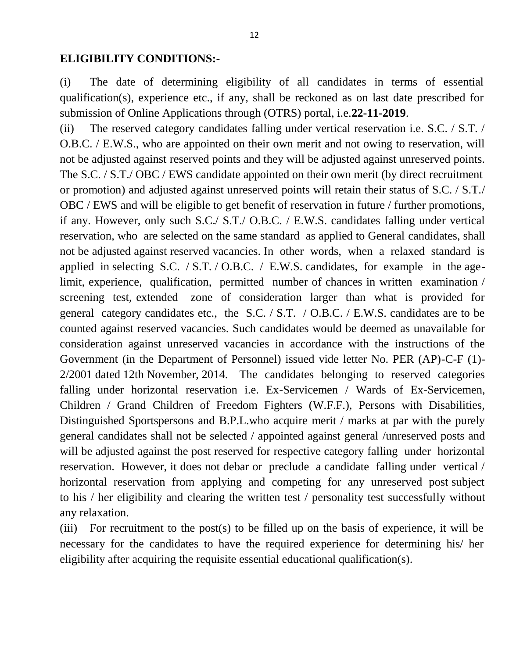### **ELIGIBILITY CONDITIONS:-**

(i) The date of determining eligibility of all candidates in terms of essential qualification(s), experience etc., if any, shall be reckoned as on last date prescribed for submission of Online Applications through (OTRS) portal, i.e.**22-11-2019**.

(ii) The reserved category candidates falling under vertical reservation i.e. S.C. / S.T. / O.B.C. / E.W.S., who are appointed on their own merit and not owing to reservation, will not be adjusted against reserved points and they will be adjusted against unreserved points. The S.C. / S.T./ OBC / EWS candidate appointed on their own merit (by direct recruitment or promotion) and adjusted against unreserved points will retain their status of S.C. / S.T./ OBC / EWS and will be eligible to get benefit of reservation in future / further promotions, if any. However, only such S.C./ S.T./ O.B.C. / E.W.S. candidates falling under vertical reservation, who are selected on the same standard as applied to General candidates, shall not be adjusted against reserved vacancies. In other words, when a relaxed standard is applied in selecting S.C. / S.T. / O.B.C. / E.W.S. candidates, for example in the agelimit, experience, qualification, permitted number of chances in written examination / screening test, extended zone of consideration larger than what is provided for general category candidates etc., the S.C. / S.T. / O.B.C. / E.W.S. candidates are to be counted against reserved vacancies. Such candidates would be deemed as unavailable for consideration against unreserved vacancies in accordance with the instructions of the Government (in the Department of Personnel) issued vide letter No. PER (AP)-C-F (1)- 2/2001 dated 12th November, 2014. The candidates belonging to reserved categories falling under horizontal reservation i.e. Ex-Servicemen / Wards of Ex-Servicemen, Children / Grand Children of Freedom Fighters (W.F.F.), Persons with Disabilities, Distinguished Sportspersons and B.P.L.who acquire merit / marks at par with the purely general candidates shall not be selected / appointed against general /unreserved posts and will be adjusted against the post reserved for respective category falling under horizontal reservation. However, it does not debar or preclude a candidate falling under vertical / horizontal reservation from applying and competing for any unreserved post subject to his / her eligibility and clearing the written test / personality test successfully without any relaxation.

(iii) For recruitment to the post(s) to be filled up on the basis of experience, it will be necessary for the candidates to have the required experience for determining his/ her eligibility after acquiring the requisite essential educational qualification(s).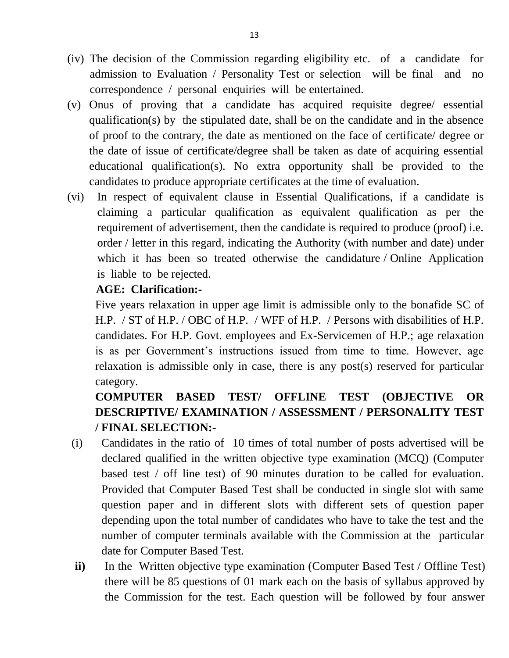- (iv) The decision of the Commission regarding eligibility etc. of a candidate for admission to Evaluation / Personality Test or selection will be final and no correspondence / personal enquiries will be entertained.
- (v) Onus of proving that a candidate has acquired requisite degree/ essential qualification(s) by the stipulated date, shall be on the candidate and in the absence of proof to the contrary, the date as mentioned on the face of certificate/ degree or the date of issue of certificate/degree shall be taken as date of acquiring essential educational qualification(s). No extra opportunity shall be provided to the candidates to produce appropriate certificates at the time of evaluation.
- (vi) In respect of equivalent clause in Essential Qualifications, if a candidate is claiming a particular qualification as equivalent qualification as per the requirement of advertisement, then the candidate is required to produce (proof) i.e. order / letter in this regard, indicating the Authority (with number and date) under which it has been so treated otherwise the candidature / Online Application is liable to be rejected.

### **AGE: Clarification:-**

Five years relaxation in upper age limit is admissible only to the bonafide SC of H.P. / ST of H.P. / OBC of H.P. / WFF of H.P. / Persons with disabilities of H.P. candidates. For H.P. Govt. employees and Ex-Servicemen of H.P.; age relaxation is as per Government's instructions issued from time to time. However, age relaxation is admissible only in case, there is any post(s) reserved for particular category.

# **COMPUTER BASED TEST/ OFFLINE TEST (OBJECTIVE OR DESCRIPTIVE/ EXAMINATION / ASSESSMENT / PERSONALITY TEST / FINAL SELECTION:-**

- (i) Candidates in the ratio of 10 times of total number of posts advertised will be declared qualified in the written objective type examination (MCQ) (Computer based test / off line test) of 90 minutes duration to be called for evaluation. Provided that Computer Based Test shall be conducted in single slot with same question paper and in different slots with different sets of question paper depending upon the total number of candidates who have to take the test and the number of computer terminals available with the Commission at the particular date for Computer Based Test.
- **ii**) In the Written objective type examination (Computer Based Test / Offline Test) there will be 85 questions of 01 mark each on the basis of syllabus approved by the Commission for the test. Each question will be followed by four answer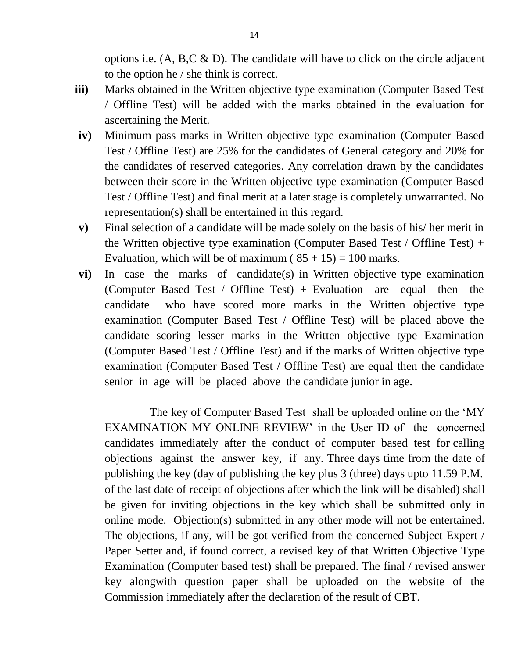options i.e.  $(A, B, C \& D)$ . The candidate will have to click on the circle adjacent to the option he / she think is correct.

- **iii)** Marks obtained in the Written objective type examination (Computer Based Test / Offline Test) will be added with the marks obtained in the evaluation for ascertaining the Merit.
- **iv)** Minimum pass marks in Written objective type examination (Computer Based Test / Offline Test) are 25% for the candidates of General category and 20% for the candidates of reserved categories. Any correlation drawn by the candidates between their score in the Written objective type examination (Computer Based Test / Offline Test) and final merit at a later stage is completely unwarranted. No representation(s) shall be entertained in this regard.
- **v)** Final selection of a candidate will be made solely on the basis of his/ her merit in the Written objective type examination (Computer Based Test / Offline Test) + Evaluation, which will be of maximum ( $85 + 15$ ) = 100 marks.
- **vi)** In case the marks of candidate(s) in Written objective type examination (Computer Based Test / Offline Test) + Evaluation are equal then the candidate who have scored more marks in the Written objective type examination (Computer Based Test / Offline Test) will be placed above the candidate scoring lesser marks in the Written objective type Examination (Computer Based Test / Offline Test) and if the marks of Written objective type examination (Computer Based Test / Offline Test) are equal then the candidate senior in age will be placed above the candidate junior in age.

The key of Computer Based Test shall be uploaded online on the "MY EXAMINATION MY ONLINE REVIEW' in the User ID of the concerned candidates immediately after the conduct of computer based test for calling objections against the answer key, if any. Three days time from the date of publishing the key (day of publishing the key plus 3 (three) days upto 11.59 P.M. of the last date of receipt of objections after which the link will be disabled) shall be given for inviting objections in the key which shall be submitted only in online mode. Objection(s) submitted in any other mode will not be entertained. The objections, if any, will be got verified from the concerned Subject Expert / Paper Setter and, if found correct, a revised key of that Written Objective Type Examination (Computer based test) shall be prepared. The final / revised answer key alongwith question paper shall be uploaded on the website of the Commission immediately after the declaration of the result of CBT.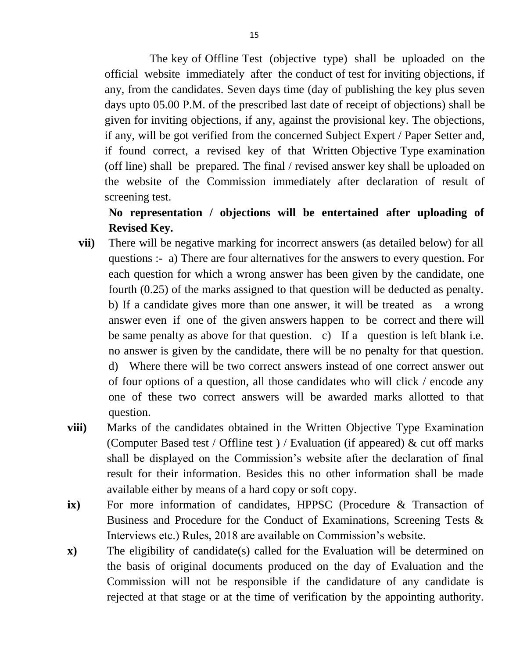The key of Offline Test (objective type) shall be uploaded on the official website immediately after the conduct of test for inviting objections, if any, from the candidates. Seven days time (day of publishing the key plus seven days upto 05.00 P.M. of the prescribed last date of receipt of objections) shall be given for inviting objections, if any, against the provisional key. The objections, if any, will be got verified from the concerned Subject Expert / Paper Setter and, if found correct, a revised key of that Written Objective Type examination (off line) shall be prepared. The final / revised answer key shall be uploaded on the website of the Commission immediately after declaration of result of screening test.

## **No representation / objections will be entertained after uploading of Revised Key.**

- **vii)** There will be negative marking for incorrect answers (as detailed below) for all questions :- a) There are four alternatives for the answers to every question. For each question for which a wrong answer has been given by the candidate, one fourth (0.25) of the marks assigned to that question will be deducted as penalty. b) If a candidate gives more than one answer, it will be treated as a wrong answer even if one of the given answers happen to be correct and there will be same penalty as above for that question. c) If a question is left blank i.e. no answer is given by the candidate, there will be no penalty for that question. d) Where there will be two correct answers instead of one correct answer out of four options of a question, all those candidates who will click / encode any one of these two correct answers will be awarded marks allotted to that question.
- **viii)** Marks of the candidates obtained in the Written Objective Type Examination (Computer Based test / Offline test ) / Evaluation (if appeared)  $\&$  cut off marks shall be displayed on the Commission's website after the declaration of final result for their information. Besides this no other information shall be made available either by means of a hard copy or soft copy.
- **ix)** For more information of candidates, HPPSC (Procedure & Transaction of Business and Procedure for the Conduct of Examinations, Screening Tests & Interviews etc.) Rules, 2018 are available on Commission"s website.
- **x)** The eligibility of candidate(s) called for the Evaluation will be determined on the basis of original documents produced on the day of Evaluation and the Commission will not be responsible if the candidature of any candidate is rejected at that stage or at the time of verification by the appointing authority.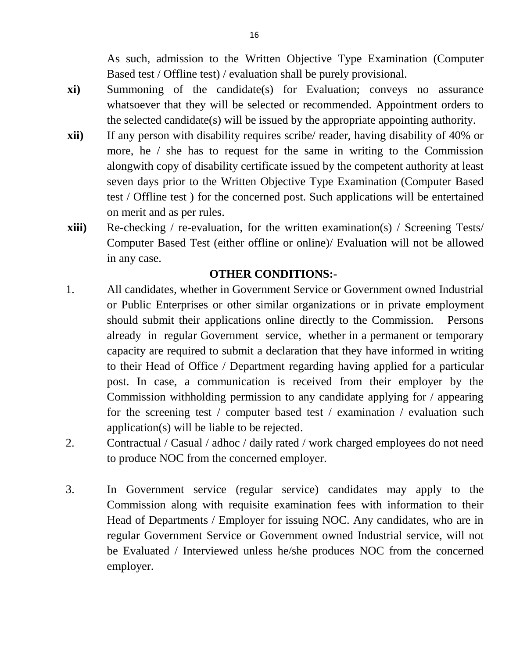As such, admission to the Written Objective Type Examination (Computer Based test / Offline test) / evaluation shall be purely provisional.

- **xi)** Summoning of the candidate(s) for Evaluation; conveys no assurance whatsoever that they will be selected or recommended. Appointment orders to the selected candidate(s) will be issued by the appropriate appointing authority.
- **xii)** If any person with disability requires scribe/ reader, having disability of 40% or more, he / she has to request for the same in writing to the Commission alongwith copy of disability certificate issued by the competent authority at least seven days prior to the Written Objective Type Examination (Computer Based test / Offline test ) for the concerned post. Such applications will be entertained on merit and as per rules.
- **xiii)** Re-checking / re-evaluation, for the written examination(s) / Screening Tests/ Computer Based Test (either offline or online)/ Evaluation will not be allowed in any case.

### **OTHER CONDITIONS:-**

- 1. All candidates, whether in Government Service or Government owned Industrial or Public Enterprises or other similar organizations or in private employment should submit their applications online directly to the Commission. Persons already in regular Government service, whether in a permanent or temporary capacity are required to submit a declaration that they have informed in writing to their Head of Office / Department regarding having applied for a particular post. In case, a communication is received from their employer by the Commission withholding permission to any candidate applying for / appearing for the screening test / computer based test / examination / evaluation such application(s) will be liable to be rejected.
- 2. Contractual / Casual / adhoc / daily rated / work charged employees do not need to produce NOC from the concerned employer.
- 3. In Government service (regular service) candidates may apply to the Commission along with requisite examination fees with information to their Head of Departments / Employer for issuing NOC. Any candidates, who are in regular Government Service or Government owned Industrial service, will not be Evaluated / Interviewed unless he/she produces NOC from the concerned employer.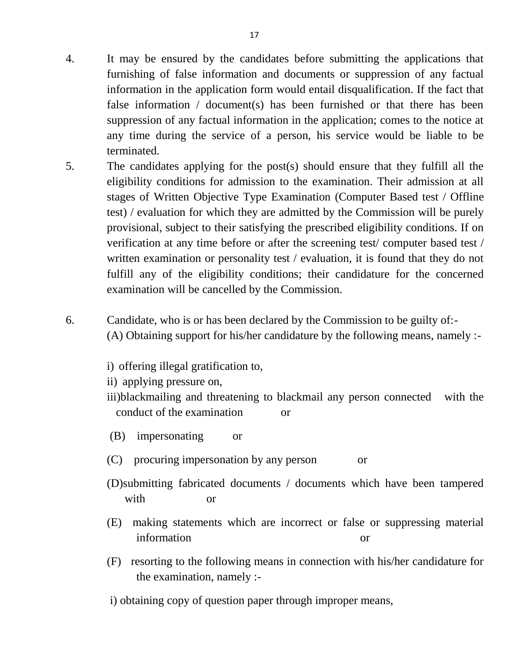- 4. It may be ensured by the candidates before submitting the applications that furnishing of false information and documents or suppression of any factual information in the application form would entail disqualification. If the fact that false information / document(s) has been furnished or that there has been suppression of any factual information in the application; comes to the notice at any time during the service of a person, his service would be liable to be terminated.
- 5. The candidates applying for the post(s) should ensure that they fulfill all the eligibility conditions for admission to the examination. Their admission at all stages of Written Objective Type Examination (Computer Based test / Offline test) / evaluation for which they are admitted by the Commission will be purely provisional, subject to their satisfying the prescribed eligibility conditions. If on verification at any time before or after the screening test/ computer based test / written examination or personality test / evaluation, it is found that they do not fulfill any of the eligibility conditions; their candidature for the concerned examination will be cancelled by the Commission.
- 6. Candidate, who is or has been declared by the Commission to be guilty of:- (A) Obtaining support for his/her candidature by the following means, namely :
	- i) offering illegal gratification to,

ii) applying pressure on,

iii)blackmailing and threatening to blackmail any person connected with the conduct of the examination or

(B) impersonating or

- (C) procuring impersonation by any person or
- (D)submitting fabricated documents / documents which have been tampered with or
- (E) making statements which are incorrect or false or suppressing material information or
- (F) resorting to the following means in connection with his/her candidature for the examination, namely :-
- i) obtaining copy of question paper through improper means,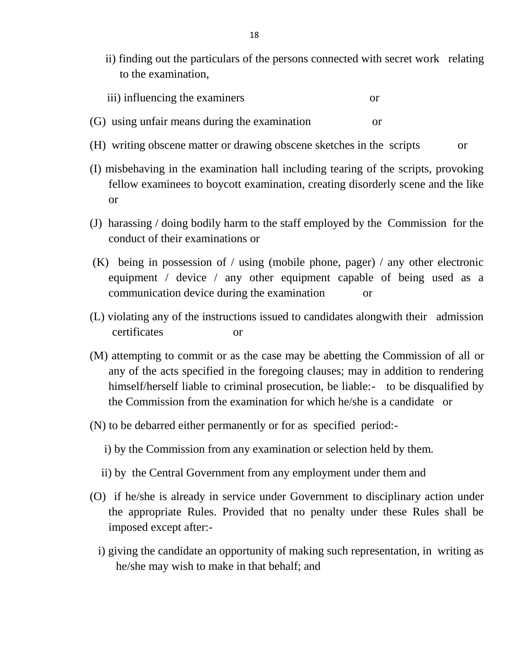ii) finding out the particulars of the persons connected with secret work relating to the examination,

| iii) influencing the examiners |  |
|--------------------------------|--|
|--------------------------------|--|

- (G) using unfair means during the examination or
- (H) writing obscene matter or drawing obscene sketches in the scripts or
- (I) misbehaving in the examination hall including tearing of the scripts, provoking fellow examinees to boycott examination, creating disorderly scene and the like or
- (J) harassing / doing bodily harm to the staff employed by the Commission for the conduct of their examinations or
- (K) being in possession of / using (mobile phone, pager) / any other electronic equipment / device / any other equipment capable of being used as a communication device during the examination or
- (L) violating any of the instructions issued to candidates alongwith their admission certificates or
- (M) attempting to commit or as the case may be abetting the Commission of all or any of the acts specified in the foregoing clauses; may in addition to rendering himself/herself liable to criminal prosecution, be liable:- to be disqualified by the Commission from the examination for which he/she is a candidate or
- (N) to be debarred either permanently or for as specified period:
	- i) by the Commission from any examination or selection held by them.
	- ii) by the Central Government from any employment under them and
- (O) if he/she is already in service under Government to disciplinary action under the appropriate Rules. Provided that no penalty under these Rules shall be imposed except after:
	- i) giving the candidate an opportunity of making such representation, in writing as he/she may wish to make in that behalf; and